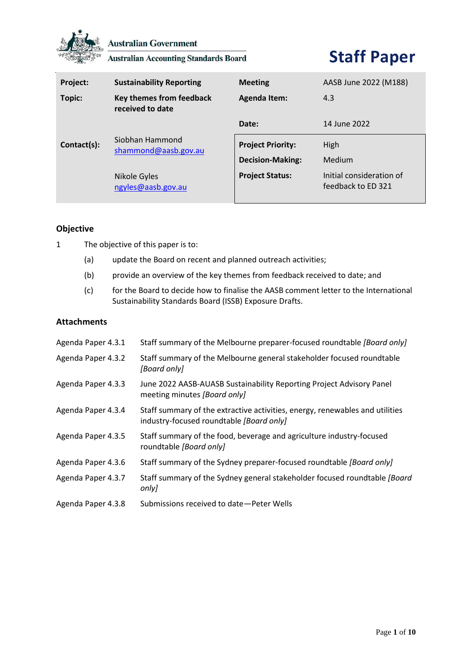

**Australian Government** 

**Australian Accounting Standards Board** 

# **Staff Paper**

| Project:    | <b>Sustainability Reporting</b>              | <b>Meeting</b>                                      | AASB June 2022 (M188)    |
|-------------|----------------------------------------------|-----------------------------------------------------|--------------------------|
| Topic:      | Key themes from feedback<br>received to date | <b>Agenda Item:</b>                                 | 4.3                      |
|             |                                              | Date:                                               | 14 June 2022             |
| Contact(s): | Siobhan Hammond<br>shammond@aasb.gov.au      | <b>Project Priority:</b><br><b>Decision-Making:</b> | High<br>Medium           |
|             | Nikole Gyles                                 | <b>Project Status:</b>                              | Initial consideration of |
|             | ngyles@aasb.gov.au                           |                                                     | feedback to ED 321       |

# **Objective**

- 1 The objective of this paper is to:
	- (a) update the Board on recent and planned outreach activities;
	- (b) provide an overview of the key themes from feedback received to date; and
	- (c) for the Board to decide how to finalise the AASB comment letter to the International Sustainability Standards Board (ISSB) Exposure Drafts.

# **Attachments**

| Agenda Paper 4.3.1 | Staff summary of the Melbourne preparer-focused roundtable [Board only]                                                  |
|--------------------|--------------------------------------------------------------------------------------------------------------------------|
| Agenda Paper 4.3.2 | Staff summary of the Melbourne general stakeholder focused roundtable<br>[Board only]                                    |
| Agenda Paper 4.3.3 | June 2022 AASB-AUASB Sustainability Reporting Project Advisory Panel<br>meeting minutes [Board only]                     |
| Agenda Paper 4.3.4 | Staff summary of the extractive activities, energy, renewables and utilities<br>industry-focused roundtable [Board only] |
| Agenda Paper 4.3.5 | Staff summary of the food, beverage and agriculture industry-focused<br>roundtable [Board only]                          |
| Agenda Paper 4.3.6 | Staff summary of the Sydney preparer-focused roundtable [Board only]                                                     |
| Agenda Paper 4.3.7 | Staff summary of the Sydney general stakeholder focused roundtable [Board]<br>only]                                      |
| Agenda Paper 4.3.8 | Submissions received to date-Peter Wells                                                                                 |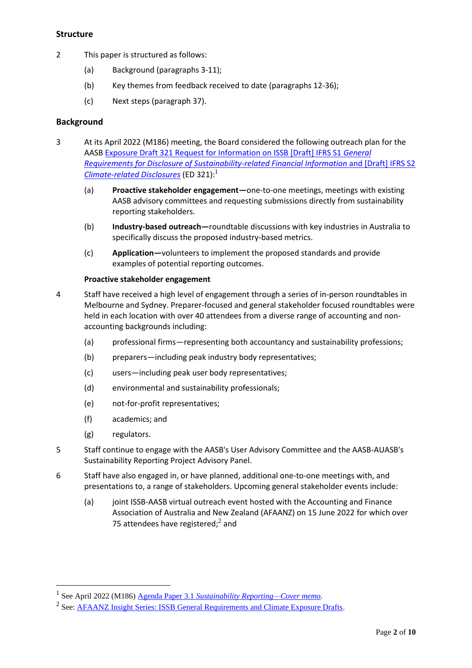## **Structure**

- 2 This paper is structured as follows:
	- (a) Background (paragraphs 3-11);
	- (b) Key themes from feedback received to date (paragraphs 12-36);
	- (c) Next steps (paragraph 37).

## **Background**

- 3 At its April 2022 (M186) meeting, the Board considered the following outreach plan for the AAS[B Exposure Draft 321 Request for Information on ISSB \[Draft\] IFRS S1](https://www.aasb.gov.au/admin/file/content105/c9/ACCED321-04-21.pdf) *General [Requirements for Disclosure of Sustainability-related Financial Information](https://www.aasb.gov.au/admin/file/content105/c9/ACCED321-04-21.pdf)* and [Draft] IFRS S2 *[Climate-related Disclosures](https://www.aasb.gov.au/admin/file/content105/c9/ACCED321-04-21.pdf)* (ED 321):<sup>1</sup>
	- (a) **Proactive stakeholder engagement—**one-to-one meetings, meetings with existing AASB advisory committees and requesting submissions directly from sustainability reporting stakeholders.
	- (b) **Industry-based outreach—**roundtable discussions with key industries in Australia to specifically discuss the proposed industry-based metrics.
	- (c) **Application—**volunteers to implement the proposed standards and provide examples of potential reporting outcomes.

#### **Proactive stakeholder engagement**

- 4 Staff have received a high level of engagement through a series of in-person roundtables in Melbourne and Sydney. Preparer-focused and general stakeholder focused roundtables were held in each location with over 40 attendees from a diverse range of accounting and nonaccounting backgrounds including:
	- (a) professional firms—representing both accountancy and sustainability professions;
	- (b) preparers—including peak industry body representatives;
	- (c) users—including peak user body representatives;
	- (d) environmental and sustainability professionals;
	- (e) not-for-profit representatives;
	- (f) academics; and
	- (g) regulators.
- 5 Staff continue to engage with the AASB's User Advisory Committee and the AASB-AUASB's Sustainability Reporting Project Advisory Panel.
- 6 Staff have also engaged in, or have planned, additional one-to-one meetings with, and presentations to, a range of stakeholders. Upcoming general stakeholder events include:
	- (a) joint ISSB-AASB virtual outreach event hosted with the Accounting and Finance Association of Australia and New Zealand (AFAANZ) on 15 June 2022 for which over 75 attendees have registered; $2$  and

<sup>1</sup> See April 2022 (M186) Agenda Paper 3.1 *[Sustainability Reporting—Cover](https://www.aasb.gov.au/media/d0rfxvjh/03-1-0_sp_sr_covermemo_m186_pp.pdf) memo*.

<sup>&</sup>lt;sup>2</sup> See: <u>AFAANZ Insight Series: ISSB General Requirements and Climate Exposure Drafts</u>.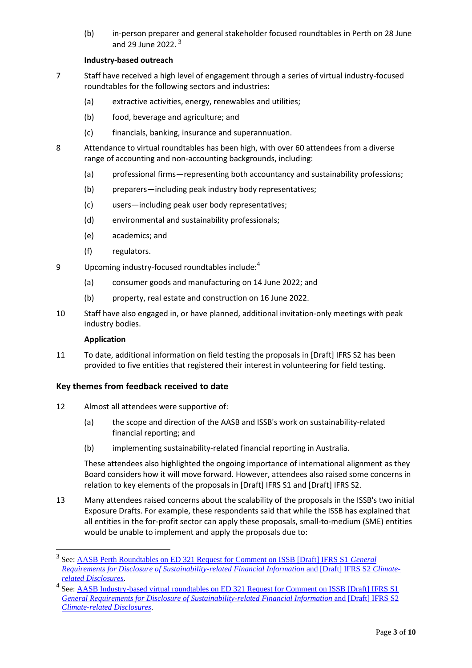(b) in-person preparer and general stakeholder focused roundtables in Perth on 28 June and 29 June 2022.  $3$ 

## **Industry-based outreach**

- 7 Staff have received a high level of engagement through a series of virtual industry-focused roundtables for the following sectors and industries:
	- (a) extractive activities, energy, renewables and utilities;
	- (b) food, beverage and agriculture; and
	- (c) financials, banking, insurance and superannuation.
- 8 Attendance to virtual roundtables has been high, with over 60 attendees from a diverse range of accounting and non-accounting backgrounds, including:
	- (a) professional firms—representing both accountancy and sustainability professions;
	- (b) preparers—including peak industry body representatives;
	- (c) users—including peak user body representatives;
	- (d) environmental and sustainability professionals;
	- (e) academics; and
	- (f) regulators.
- 9 Upcoming industry-focused roundtables include: $4$ 
	- (a) consumer goods and manufacturing on 14 June 2022; and
	- (b) property, real estate and construction on 16 June 2022.
- 10 Staff have also engaged in, or have planned, additional invitation-only meetings with peak industry bodies.

#### **Application**

11 To date, additional information on field testing the proposals in [Draft] IFRS S2 has been provided to five entities that registered their interest in volunteering for field testing.

#### **Key themes from feedback received to date**

- 12 Almost all attendees were supportive of:
	- (a) the scope and direction of the AASB and ISSB's work on sustainability-related financial reporting; and
	- (b) implementing sustainability-related financial reporting in Australia.

These attendees also highlighted the ongoing importance of international alignment as they Board considers how it will move forward. However, attendees also raised some concerns in relation to key elements of the proposals in [Draft] IFRS S1 and [Draft] IFRS S2.

13 Many attendees raised concerns about the scalability of the proposals in the ISSB's two initial Exposure Drafts. For example, these respondents said that while the ISSB has explained that all entities in the for-profit sector can apply these proposals, small-to-medium (SME) entities would be unable to implement and apply the proposals due to:

<sup>&</sup>lt;sup>3</sup> See: <u>AASB Perth Roundtables on ED 321 Request for Comment on ISSB [Draft] IFRS S1 *General*</u> *[Requirements for Disclosure of Sustainability-related Financial Information](https://www.aasb.gov.au/news/aasb-perth-roundtables-on-ed-321-request-for-comment-on-draft-ifrs-s1-general-requirements-for-disclosure-of-sustainability-related-financial-information-and-draft-ifrs-s2-climate-related-disclosures/)* and [Draft] IFRS S2 *Climate[related Disclosures](https://www.aasb.gov.au/news/aasb-perth-roundtables-on-ed-321-request-for-comment-on-draft-ifrs-s1-general-requirements-for-disclosure-of-sustainability-related-financial-information-and-draft-ifrs-s2-climate-related-disclosures/)*.

<sup>&</sup>lt;sup>4</sup> See: <u>AASB Industry-based virtual roundtables on ED 321 Request for Comment on ISSB [Draft] IFRS S1</u> *[General Requirements for Disclosure of Sustainability-related Financial Information](https://www.aasb.gov.au/news/aasb-industry-based-virtual-roundtables-on-ed-321-request-for-comment-on-draft-ifrs-s1-general-requirements-for-disclosure-of-sustainability-related-financial-information-and-draft-ifrs-s2-climate-related-disclosures-1/) and [Draft] IFRS S2 [Climate-related Disclosures](https://www.aasb.gov.au/news/aasb-industry-based-virtual-roundtables-on-ed-321-request-for-comment-on-draft-ifrs-s1-general-requirements-for-disclosure-of-sustainability-related-financial-information-and-draft-ifrs-s2-climate-related-disclosures-1/)*.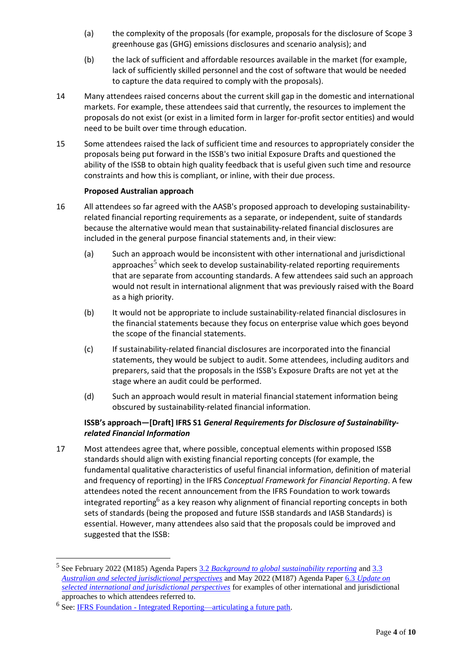- (a) the complexity of the proposals (for example, proposals for the disclosure of Scope 3 greenhouse gas (GHG) emissions disclosures and scenario analysis); and
- (b) the lack of sufficient and affordable resources available in the market (for example, lack of sufficiently skilled personnel and the cost of software that would be needed to capture the data required to comply with the proposals).
- 14 Many attendees raised concerns about the current skill gap in the domestic and international markets. For example, these attendees said that currently, the resources to implement the proposals do not exist (or exist in a limited form in larger for-profit sector entities) and would need to be built over time through education.
- 15 Some attendees raised the lack of sufficient time and resources to appropriately consider the proposals being put forward in the ISSB's two initial Exposure Drafts and questioned the ability of the ISSB to obtain high quality feedback that is useful given such time and resource constraints and how this is compliant, or inline, with their due process.

## **Proposed Australian approach**

- 16 All attendees so far agreed with the AASB's proposed approach to developing sustainabilityrelated financial reporting requirements as a separate, or independent, suite of standards because the alternative would mean that sustainability-related financial disclosures are included in the general purpose financial statements and, in their view:
	- (a) Such an approach would be inconsistent with other international and jurisdictional approaches<sup>5</sup> which seek to develop sustainability-related reporting requirements that are separate from accounting standards. A few attendees said such an approach would not result in international alignment that was previously raised with the Board as a high priority.
	- (b) It would not be appropriate to include sustainability-related financial disclosures in the financial statements because they focus on enterprise value which goes beyond the scope of the financial statements.
	- (c) If sustainability-related financial disclosures are incorporated into the financial statements, they would be subject to audit. Some attendees, including auditors and preparers, said that the proposals in the ISSB's Exposure Drafts are not yet at the stage where an audit could be performed.
	- (d) Such an approach would result in material financial statement information being obscured by sustainability-related financial information.

# **ISSB's approach—[Draft] IFRS S1** *General Requirements for Disclosure of Sustainabilityrelated Financial Information*

17 Most attendees agree that, where possible, conceptual elements within proposed ISSB standards should align with existing financial reporting concepts (for example, the fundamental qualitative characteristics of useful financial information, definition of material and frequency of reporting) in the IFRS *Conceptual Framework for Financial Reporting*. A few attendees noted the recent announcement from the IFRS Foundation to work towards integrated reporting<sup>6</sup> as a key reason why alignment of financial reporting concepts in both sets of standards (being the proposed and future ISSB standards and IASB Standards) is essential. However, many attendees also said that the proposals could be improved and suggested that the ISSB:

<sup>5</sup> See February 2022 (M185) Agenda Papers 3.2 *[Background to global sustainability reporting](https://www.aasb.gov.au/media/vb4d0uza/3-2_sr_background_m185_pp.pdf)* an[d 3.3](https://www.aasb.gov.au/media/x0kp4ywj/3-3_sr_austandselectjurisperspectives_m185_pp.pdf)  *[Australian and selected jurisdictional perspectives](https://www.aasb.gov.au/media/x0kp4ywj/3-3_sr_austandselectjurisperspectives_m185_pp.pdf)* and May 2022 (M187) Agenda Paper 6.3 *[Update on](https://www.aasb.gov.au/media/1okjfdm2/06-3_sr_intupdate_m187_pp.pdf)  [selected international and jurisdictional perspectives](https://www.aasb.gov.au/media/1okjfdm2/06-3_sr_intupdate_m187_pp.pdf)* for examples of other international and jurisdictional approaches to which attendees referred to.

<sup>&</sup>lt;sup>6</sup> See: <u>IFRS Foundation - [Integrated Reporting—articulating a future path.](https://www.ifrs.org/news-and-events/news/2022/05/integrated-reporting-articulating-a-future-path/)</u>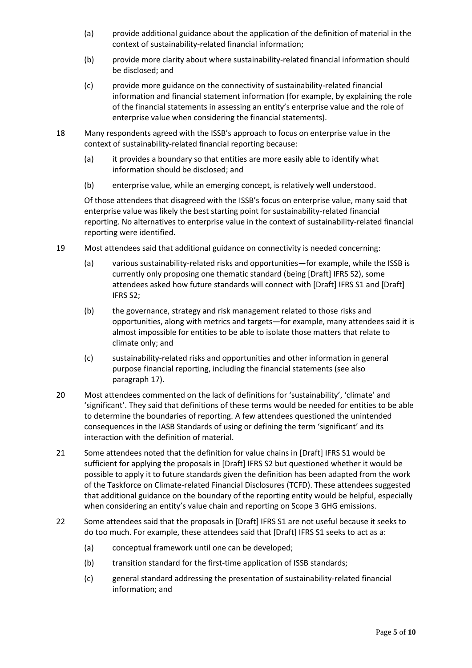- (a) provide additional guidance about the application of the definition of material in the context of sustainability-related financial information;
- (b) provide more clarity about where sustainability-related financial information should be disclosed; and
- (c) provide more guidance on the connectivity of sustainability-related financial information and financial statement information (for example, by explaining the role of the financial statements in assessing an entity's enterprise value and the role of enterprise value when considering the financial statements).
- 18 Many respondents agreed with the ISSB's approach to focus on enterprise value in the context of sustainability-related financial reporting because:
	- (a) it provides a boundary so that entities are more easily able to identify what information should be disclosed; and
	- (b) enterprise value, while an emerging concept, is relatively well understood.

Of those attendees that disagreed with the ISSB's focus on enterprise value, many said that enterprise value was likely the best starting point for sustainability-related financial reporting. No alternatives to enterprise value in the context of sustainability-related financial reporting were identified.

- 19 Most attendees said that additional guidance on connectivity is needed concerning:
	- (a) various sustainability-related risks and opportunities—for example, while the ISSB is currently only proposing one thematic standard (being [Draft] IFRS S2), some attendees asked how future standards will connect with [Draft] IFRS S1 and [Draft] IFRS S2;
	- (b) the governance, strategy and risk management related to those risks and opportunities, along with metrics and targets—for example, many attendees said it is almost impossible for entities to be able to isolate those matters that relate to climate only; and
	- (c) sustainability-related risks and opportunities and other information in general purpose financial reporting, including the financial statements (see also paragraph 17).
- 20 Most attendees commented on the lack of definitions for 'sustainability', 'climate' and 'significant'. They said that definitions of these terms would be needed for entities to be able to determine the boundaries of reporting. A few attendees questioned the unintended consequences in the IASB Standards of using or defining the term 'significant' and its interaction with the definition of material.
- 21 Some attendees noted that the definition for value chains in [Draft] IFRS S1 would be sufficient for applying the proposals in [Draft] IFRS S2 but questioned whether it would be possible to apply it to future standards given the definition has been adapted from the work of the Taskforce on Climate-related Financial Disclosures (TCFD). These attendees suggested that additional guidance on the boundary of the reporting entity would be helpful, especially when considering an entity's value chain and reporting on Scope 3 GHG emissions.
- 22 Some attendees said that the proposals in [Draft] IFRS S1 are not useful because it seeks to do too much. For example, these attendees said that [Draft] IFRS S1 seeks to act as a:
	- (a) conceptual framework until one can be developed;
	- (b) transition standard for the first-time application of ISSB standards;
	- (c) general standard addressing the presentation of sustainability-related financial information; and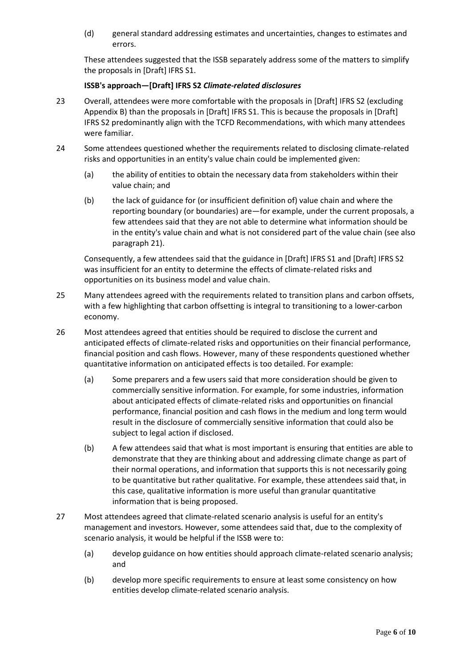(d) general standard addressing estimates and uncertainties, changes to estimates and errors.

These attendees suggested that the ISSB separately address some of the matters to simplify the proposals in [Draft] IFRS S1.

## **ISSB's approach—[Draft] IFRS S2** *Climate-related disclosures*

- 23 Overall, attendees were more comfortable with the proposals in [Draft] IFRS S2 (excluding Appendix B) than the proposals in [Draft] IFRS S1. This is because the proposals in [Draft] IFRS S2 predominantly align with the TCFD Recommendations, with which many attendees were familiar.
- 24 Some attendees questioned whether the requirements related to disclosing climate-related risks and opportunities in an entity's value chain could be implemented given:
	- (a) the ability of entities to obtain the necessary data from stakeholders within their value chain; and
	- (b) the lack of guidance for (or insufficient definition of) value chain and where the reporting boundary (or boundaries) are—for example, under the current proposals, a few attendees said that they are not able to determine what information should be in the entity's value chain and what is not considered part of the value chain (see also paragraph 21).

Consequently, a few attendees said that the guidance in [Draft] IFRS S1 and [Draft] IFRS S2 was insufficient for an entity to determine the effects of climate-related risks and opportunities on its business model and value chain.

- 25 Many attendees agreed with the requirements related to transition plans and carbon offsets, with a few highlighting that carbon offsetting is integral to transitioning to a lower-carbon economy.
- 26 Most attendees agreed that entities should be required to disclose the current and anticipated effects of climate-related risks and opportunities on their financial performance, financial position and cash flows. However, many of these respondents questioned whether quantitative information on anticipated effects is too detailed. For example:
	- (a) Some preparers and a few users said that more consideration should be given to commercially sensitive information. For example, for some industries, information about anticipated effects of climate-related risks and opportunities on financial performance, financial position and cash flows in the medium and long term would result in the disclosure of commercially sensitive information that could also be subject to legal action if disclosed.
	- (b) A few attendees said that what is most important is ensuring that entities are able to demonstrate that they are thinking about and addressing climate change as part of their normal operations, and information that supports this is not necessarily going to be quantitative but rather qualitative. For example, these attendees said that, in this case, qualitative information is more useful than granular quantitative information that is being proposed.
- 27 Most attendees agreed that climate-related scenario analysis is useful for an entity's management and investors. However, some attendees said that, due to the complexity of scenario analysis, it would be helpful if the ISSB were to:
	- (a) develop guidance on how entities should approach climate-related scenario analysis; and
	- (b) develop more specific requirements to ensure at least some consistency on how entities develop climate-related scenario analysis.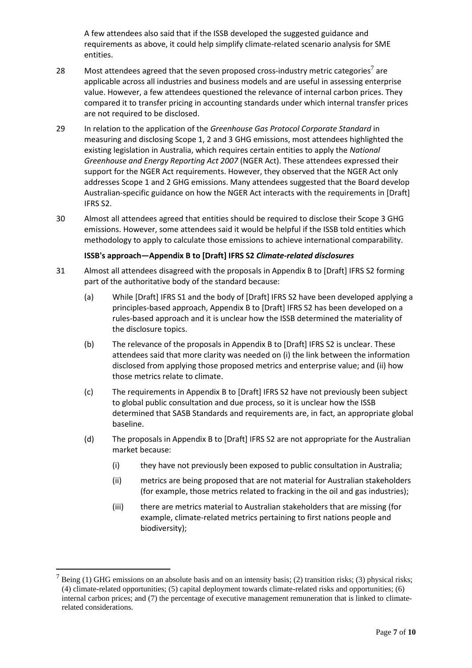A few attendees also said that if the ISSB developed the suggested guidance and requirements as above, it could help simplify climate-related scenario analysis for SME entities.

- 28 Most attendees agreed that the seven proposed cross-industry metric categories<sup>7</sup> are applicable across all industries and business models and are useful in assessing enterprise value. However, a few attendees questioned the relevance of internal carbon prices. They compared it to transfer pricing in accounting standards under which internal transfer prices are not required to be disclosed.
- 29 In relation to the application of the *Greenhouse Gas Protocol Corporate Standard* in measuring and disclosing Scope 1, 2 and 3 GHG emissions, most attendees highlighted the existing legislation in Australia, which requires certain entities to apply the *National Greenhouse and Energy Reporting Act 2007* (NGER Act). These attendees expressed their support for the NGER Act requirements. However, they observed that the NGER Act only addresses Scope 1 and 2 GHG emissions. Many attendees suggested that the Board develop Australian-specific guidance on how the NGER Act interacts with the requirements in [Draft] IFRS S2.
- 30 Almost all attendees agreed that entities should be required to disclose their Scope 3 GHG emissions. However, some attendees said it would be helpful if the ISSB told entities which methodology to apply to calculate those emissions to achieve international comparability.

## **ISSB's approach—Appendix B to [Draft] IFRS S2** *Climate-related disclosures*

- 31 Almost all attendees disagreed with the proposals in Appendix B to [Draft] IFRS S2 forming part of the authoritative body of the standard because:
	- (a) While [Draft] IFRS S1 and the body of [Draft] IFRS S2 have been developed applying a principles-based approach, Appendix B to [Draft] IFRS S2 has been developed on a rules-based approach and it is unclear how the ISSB determined the materiality of the disclosure topics.
	- (b) The relevance of the proposals in Appendix B to [Draft] IFRS S2 is unclear. These attendees said that more clarity was needed on (i) the link between the information disclosed from applying those proposed metrics and enterprise value; and (ii) how those metrics relate to climate.
	- (c) The requirements in Appendix B to [Draft] IFRS S2 have not previously been subject to global public consultation and due process, so it is unclear how the ISSB determined that SASB Standards and requirements are, in fact, an appropriate global baseline.
	- (d) The proposals in Appendix B to [Draft] IFRS S2 are not appropriate for the Australian market because:
		- (i) they have not previously been exposed to public consultation in Australia;
		- (ii) metrics are being proposed that are not material for Australian stakeholders (for example, those metrics related to fracking in the oil and gas industries);
		- (iii) there are metrics material to Australian stakeholders that are missing (for example, climate-related metrics pertaining to first nations people and biodiversity);

 $<sup>7</sup>$  Being (1) GHG emissions on an absolute basis and on an intensity basis; (2) transition risks; (3) physical risks;</sup> (4) climate-related opportunities; (5) capital deployment towards climate-related risks and opportunities; (6) internal carbon prices; and (7) the percentage of executive management remuneration that is linked to climaterelated considerations.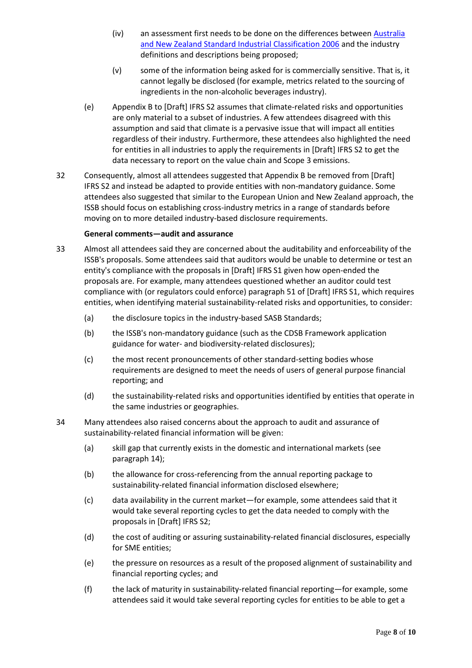- (iv) an assessment first needs to be done on the differences between [Australia](https://www.ausstats.abs.gov.au/ausstats/subscriber.nsf/0/5718D13F2E345B57CA257B9500176C8F/$File/12920_2006.pdf)  [and New Zealand Standard Industrial Classification](https://www.ausstats.abs.gov.au/ausstats/subscriber.nsf/0/5718D13F2E345B57CA257B9500176C8F/$File/12920_2006.pdf) 2006 and the industry definitions and descriptions being proposed;
- (v) some of the information being asked for is commercially sensitive. That is, it cannot legally be disclosed (for example, metrics related to the sourcing of ingredients in the non-alcoholic beverages industry).
- (e) Appendix B to [Draft] IFRS S2 assumes that climate-related risks and opportunities are only material to a subset of industries. A few attendees disagreed with this assumption and said that climate is a pervasive issue that will impact all entities regardless of their industry. Furthermore, these attendees also highlighted the need for entities in all industries to apply the requirements in [Draft] IFRS S2 to get the data necessary to report on the value chain and Scope 3 emissions.
- 32 Consequently, almost all attendees suggested that Appendix B be removed from [Draft] IFRS S2 and instead be adapted to provide entities with non-mandatory guidance. Some attendees also suggested that similar to the European Union and New Zealand approach, the ISSB should focus on establishing cross-industry metrics in a range of standards before moving on to more detailed industry-based disclosure requirements.

#### **General comments—audit and assurance**

- 33 Almost all attendees said they are concerned about the auditability and enforceability of the ISSB's proposals. Some attendees said that auditors would be unable to determine or test an entity's compliance with the proposals in [Draft] IFRS S1 given how open-ended the proposals are. For example, many attendees questioned whether an auditor could test compliance with (or regulators could enforce) paragraph 51 of [Draft] IFRS S1, which requires entities, when identifying material sustainability-related risks and opportunities, to consider:
	- (a) the disclosure topics in the industry-based SASB Standards;
	- (b) the ISSB's non-mandatory guidance (such as the CDSB Framework application guidance for water- and biodiversity-related disclosures);
	- (c) the most recent pronouncements of other standard-setting bodies whose requirements are designed to meet the needs of users of general purpose financial reporting; and
	- (d) the sustainability-related risks and opportunities identified by entities that operate in the same industries or geographies.
- 34 Many attendees also raised concerns about the approach to audit and assurance of sustainability-related financial information will be given:
	- (a) skill gap that currently exists in the domestic and international markets (see paragraph 14);
	- (b) the allowance for cross-referencing from the annual reporting package to sustainability-related financial information disclosed elsewhere;
	- (c) data availability in the current market—for example, some attendees said that it would take several reporting cycles to get the data needed to comply with the proposals in [Draft] IFRS S2;
	- (d) the cost of auditing or assuring sustainability-related financial disclosures, especially for SME entities;
	- (e) the pressure on resources as a result of the proposed alignment of sustainability and financial reporting cycles; and
	- (f) the lack of maturity in sustainability-related financial reporting—for example, some attendees said it would take several reporting cycles for entities to be able to get a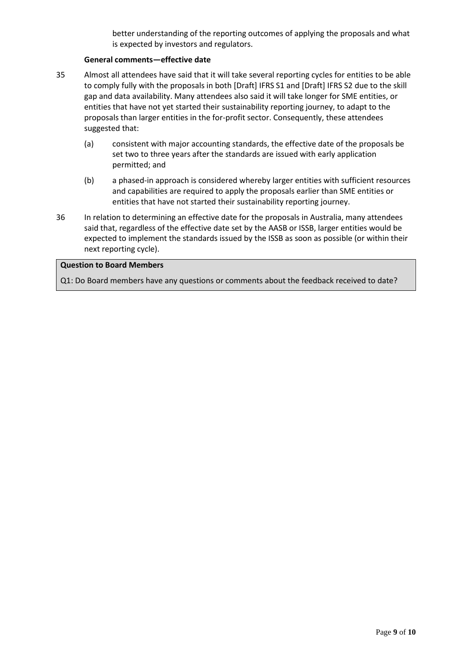better understanding of the reporting outcomes of applying the proposals and what is expected by investors and regulators.

#### **General comments—effective date**

- 35 Almost all attendees have said that it will take several reporting cycles for entities to be able to comply fully with the proposals in both [Draft] IFRS S1 and [Draft] IFRS S2 due to the skill gap and data availability. Many attendees also said it will take longer for SME entities, or entities that have not yet started their sustainability reporting journey, to adapt to the proposals than larger entities in the for-profit sector. Consequently, these attendees suggested that:
	- (a) consistent with major accounting standards, the effective date of the proposals be set two to three years after the standards are issued with early application permitted; and
	- (b) a phased-in approach is considered whereby larger entities with sufficient resources and capabilities are required to apply the proposals earlier than SME entities or entities that have not started their sustainability reporting journey.
- 36 In relation to determining an effective date for the proposals in Australia, many attendees said that, regardless of the effective date set by the AASB or ISSB, larger entities would be expected to implement the standards issued by the ISSB as soon as possible (or within their next reporting cycle).

#### **Question to Board Members**

Q1: Do Board members have any questions or comments about the feedback received to date?